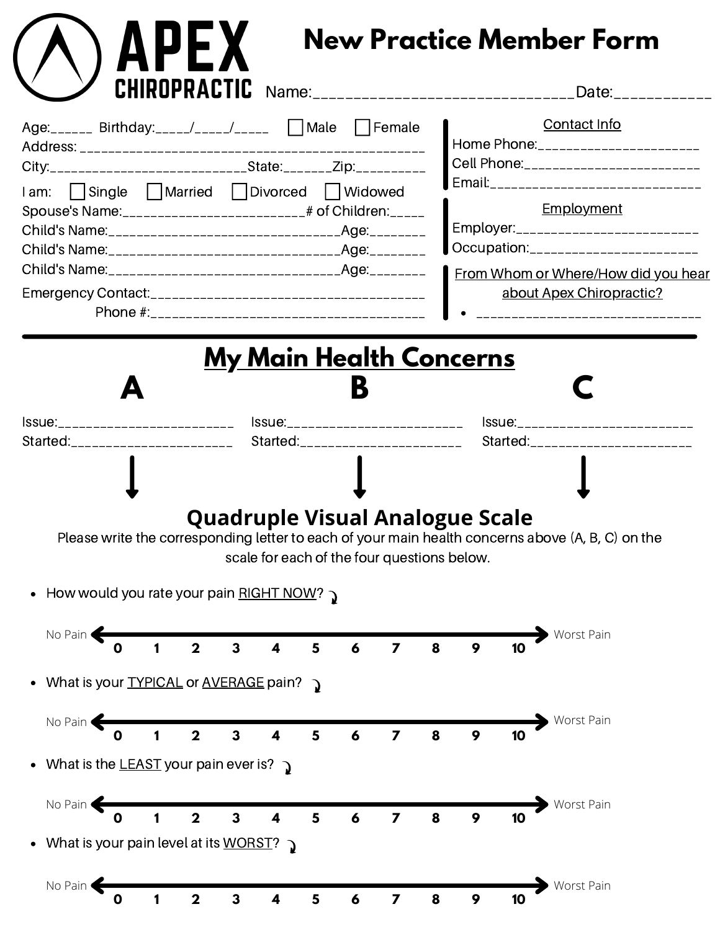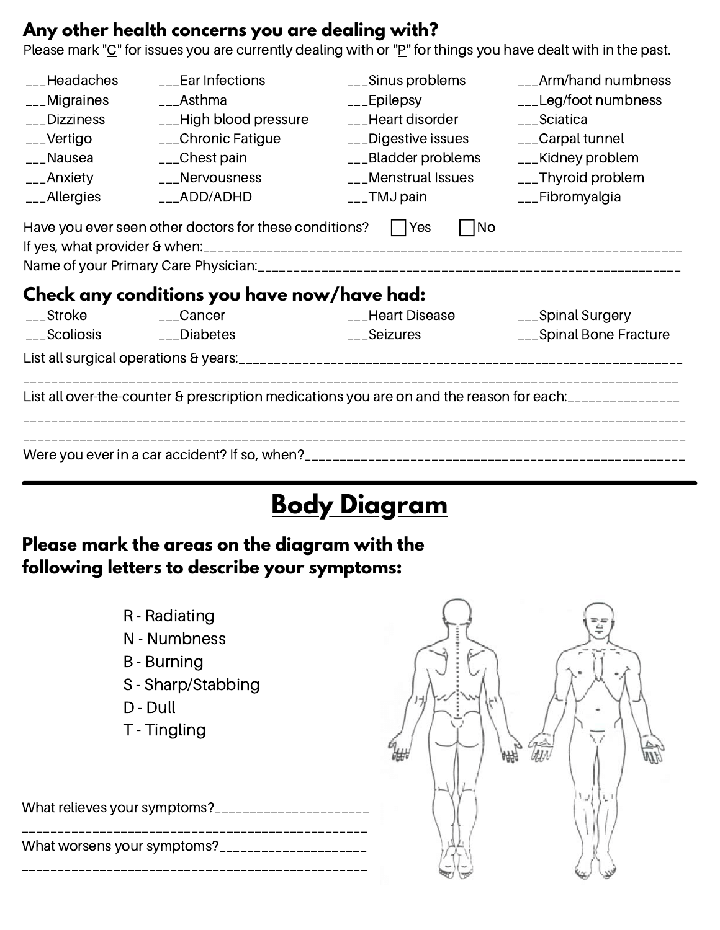### **Any other health concerns you are dealing with?**

Please mark "C" for issues you are currently dealing with or "P" for things you have dealt with in the past.

| ___Headaches<br>___Ear Infections |                                                                  | ___Sinus problems        | ___Arm/hand numbness                                                                         |  |
|-----------------------------------|------------------------------------------------------------------|--------------------------|----------------------------------------------------------------------------------------------|--|
| $_{--}$ Migraines                 | $\text{L}$ Asthma                                                | $_{--}$ Epilepsy         | $\frac{1}{2}$ Leg/foot numbness                                                              |  |
| __Dizziness                       | $_{--}$ High blood pressure                                      | ___Heart disorder        | ___Sciatica                                                                                  |  |
| $_{--}$ Vertigo                   | ___Chronic Fatigue                                               | ___Digestive issues      | ___Carpal tunnel                                                                             |  |
| ___Nausea                         | $_{--}$ Chest pain                                               | $_{--}$ Bladder problems | $_{--}$ Kidney problem                                                                       |  |
| ___Anxiety                        | ___Nervousness                                                   | ___Menstrual Issues      | $_{---}$ Thyroid problem                                                                     |  |
| $_{--}$ Allergies                 | $_{--}$ ADD/ADHD                                                 | $_{---}$ TMJ pain        | ___Fibromyalgia                                                                              |  |
|                                   | Have you ever seen other doctors for these conditions? $ $   Yes | No                       |                                                                                              |  |
|                                   |                                                                  |                          |                                                                                              |  |
|                                   | Check any conditions you have now/have had:                      |                          |                                                                                              |  |
| ___Stroke                         | $_{--}$ Cancer                                                   | ___Heart Disease         | ___Spinal Surgery                                                                            |  |
| $\sim$ Scoliosis                  | $_{--}$ Diabetes                                                 | Seizures                 | ___Spinal Bone Fracture                                                                      |  |
|                                   |                                                                  |                          |                                                                                              |  |
|                                   |                                                                  |                          | List all over-the-counter & prescription medications you are on and the reason for each:<br> |  |

# **Body Diagram**

### **Please mark the areas on the diagram with the following letters to describe your symptoms:**

- R Radiating
- N Numbness
- B Burning
- S Sharp/Stabbing
- D Dull
- T Tingling

| What relieves your symptoms?______________________ |  |
|----------------------------------------------------|--|
| What worsens your symptoms?_____________________   |  |

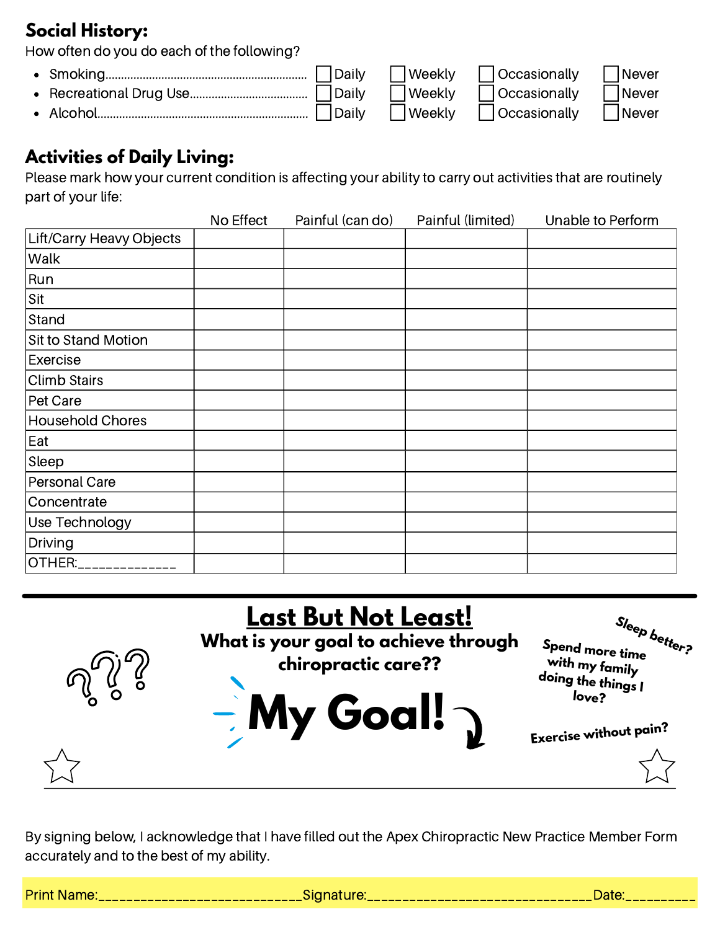### **Social History:**

How often do you do each of the following?

- Daily Neekly Occasionally Never Smoking.................................................................
- Recreational Drug Use......................................  $\bullet$
- Alcohol....................................................................  $\bullet$

Daily Neekly Occasionally Never

Daily Neekly **Occasionally** Never

## **Activities of Daily Living:**

Please mark how your current condition is affecting your ability to carry out activities that are routinely part of your life:

|                          | No Effect | Painful (can do) | Painful (limited) | Unable to Perform |
|--------------------------|-----------|------------------|-------------------|-------------------|
| Lift/Carry Heavy Objects |           |                  |                   |                   |
| Walk                     |           |                  |                   |                   |
| Run                      |           |                  |                   |                   |
| Sit                      |           |                  |                   |                   |
| Stand                    |           |                  |                   |                   |
| Sit to Stand Motion      |           |                  |                   |                   |
| Exercise                 |           |                  |                   |                   |
| <b>Climb Stairs</b>      |           |                  |                   |                   |
| Pet Care                 |           |                  |                   |                   |
| <b>Household Chores</b>  |           |                  |                   |                   |
| Eat                      |           |                  |                   |                   |
| Sleep                    |           |                  |                   |                   |
| Personal Care            |           |                  |                   |                   |
| Concentrate              |           |                  |                   |                   |
| Use Technology           |           |                  |                   |                   |
| Driving                  |           |                  |                   |                   |
| OTHER:                   |           |                  |                   |                   |



By signing below, I acknowledge that I have filled out the Apex Chiropractic New Practice Member Form accurately and to the best of my ability.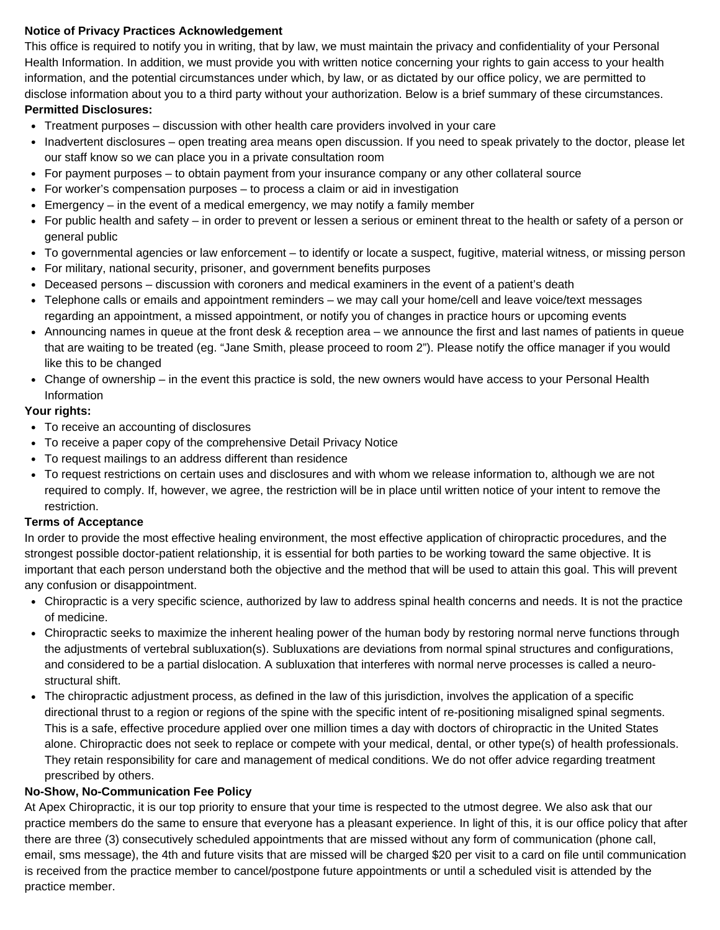#### **Notice of Privacy Practices Acknowledgement**

This office is required to notify you in writing, that by law, we must maintain the privacy and confidentiality of your Personal Health Information. In addition, we must provide you with written notice concerning your rights to gain access to your health information, and the potential circumstances under which, by law, or as dictated by our office policy, we are permitted to disclose information about you to a third party without your authorization. Below is a brief summary of these circumstances. **Permitted Disclosures:**

- Treatment purposes discussion with other health care providers involved in your care
- Inadvertent disclosures open treating area means open discussion. If you need to speak privately to the doctor, please let our staff know so we can place you in a private consultation room
- For payment purposes to obtain payment from your insurance company or any other collateral source
- For worker's compensation purposes to process a claim or aid in investigation
- $\bullet$  Emergency in the event of a medical emergency, we may notify a family member
- For public health and safety in order to prevent or lessen a serious or eminent threat to the health or safety of a person or general public
- To governmental agencies or law enforcement to identify or locate a suspect, fugitive, material witness, or missing person
- For military, national security, prisoner, and government benefits purposes
- Deceased persons discussion with coroners and medical examiners in the event of a patient's death
- Telephone calls or emails and appointment reminders we may call your home/cell and leave voice/text messages regarding an appointment, a missed appointment, or notify you of changes in practice hours or upcoming events
- Announcing names in queue at the front desk & reception area we announce the first and last names of patients in queue that are waiting to be treated (eg. "Jane Smith, please proceed to room 2"). Please notify the office manager if you would like this to be changed
- Change of ownership in the event this practice is sold, the new owners would have access to your Personal Health Information

#### **Your rights:**

- To receive an accounting of disclosures
- To receive a paper copy of the comprehensive Detail Privacy Notice
- To request mailings to an address different than residence
- To request restrictions on certain uses and disclosures and with whom we release information to, although we are not required to comply. If, however, we agree, the restriction will be in place until written notice of your intent to remove the restriction.

#### **Terms of Acceptance**

In order to provide the most effective healing environment, the most effective application of chiropractic procedures, and the strongest possible doctor-patient relationship, it is essential for both parties to be working toward the same objective. It is important that each person understand both the objective and the method that will be used to attain this goal. This will prevent any confusion or disappointment.

- Chiropractic is a very specific science, authorized by law to address spinal health concerns and needs. It is not the practice of medicine.
- Chiropractic seeks to maximize the inherent healing power of the human body by restoring normal nerve functions through the adjustments of vertebral subluxation(s). Subluxations are deviations from normal spinal structures and configurations, and considered to be a partial dislocation. A subluxation that interferes with normal nerve processes is called a neurostructural shift.
- The chiropractic adjustment process, as defined in the law of this jurisdiction, involves the application of a specific directional thrust to a region or regions of the spine with the specific intent of re-positioning misaligned spinal segments. This is a safe, effective procedure applied over one million times a day with doctors of chiropractic in the United States alone. Chiropractic does not seek to replace or compete with your medical, dental, or other type(s) of health professionals. They retain responsibility for care and management of medical conditions. We do not offer advice regarding treatment prescribed by others.

#### **No-Show, No-Communication Fee Policy**

At Apex Chiropractic, it is our top priority to ensure that your time is respected to the utmost degree. We also ask that our practice members do the same to ensure that everyone has a pleasant experience. In light of this, it is our office policy that after there are three (3) consecutively scheduled appointments that are missed without any form of communication (phone call, email, sms message), the 4th and future visits that are missed will be charged \$20 per visit to a card on file until communication is received from the practice member to cancel/postpone future appointments or until a scheduled visit is attended by the practice member.